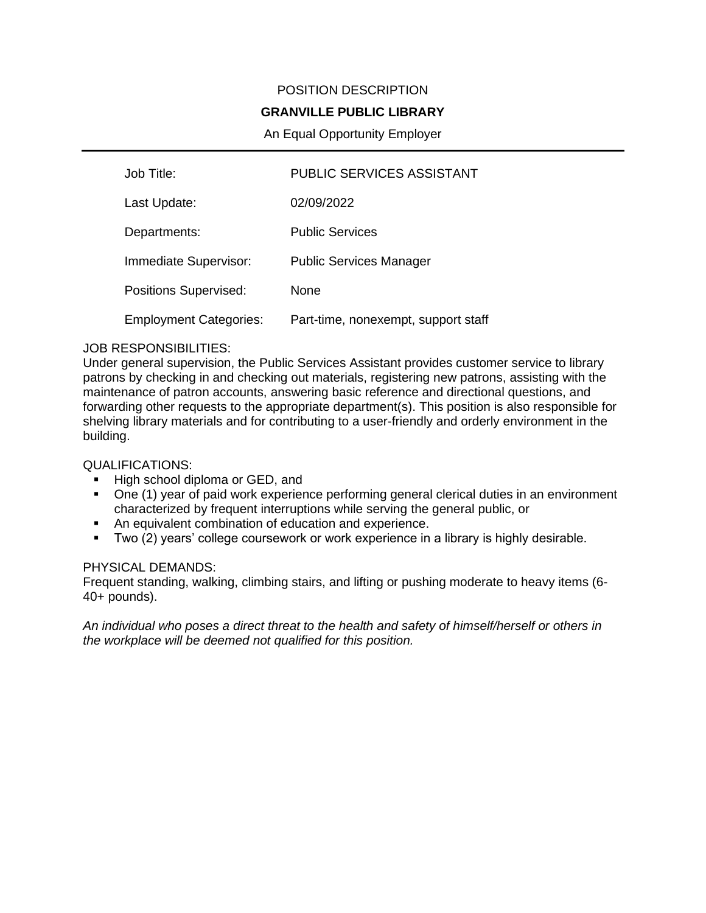# POSITION DESCRIPTION

# **GRANVILLE PUBLIC LIBRARY**

# An Equal Opportunity Employer

| Job Title:                    | <b>PUBLIC SERVICES ASSISTANT</b>    |
|-------------------------------|-------------------------------------|
| Last Update:                  | 02/09/2022                          |
| Departments:                  | <b>Public Services</b>              |
| Immediate Supervisor:         | <b>Public Services Manager</b>      |
| <b>Positions Supervised:</b>  | None                                |
| <b>Employment Categories:</b> | Part-time, nonexempt, support staff |

#### JOB RESPONSIBILITIES:

Under general supervision, the Public Services Assistant provides customer service to library patrons by checking in and checking out materials, registering new patrons, assisting with the maintenance of patron accounts, answering basic reference and directional questions, and forwarding other requests to the appropriate department(s). This position is also responsible for shelving library materials and for contributing to a user-friendly and orderly environment in the building.

# QUALIFICATIONS:

- High school diploma or GED, and
- One (1) year of paid work experience performing general clerical duties in an environment characterized by frequent interruptions while serving the general public, or
- An equivalent combination of education and experience.
- Two (2) years' college coursework or work experience in a library is highly desirable.

#### PHYSICAL DEMANDS:

Frequent standing, walking, climbing stairs, and lifting or pushing moderate to heavy items (6- 40+ pounds).

*An individual who poses a direct threat to the health and safety of himself/herself or others in the workplace will be deemed not qualified for this position.*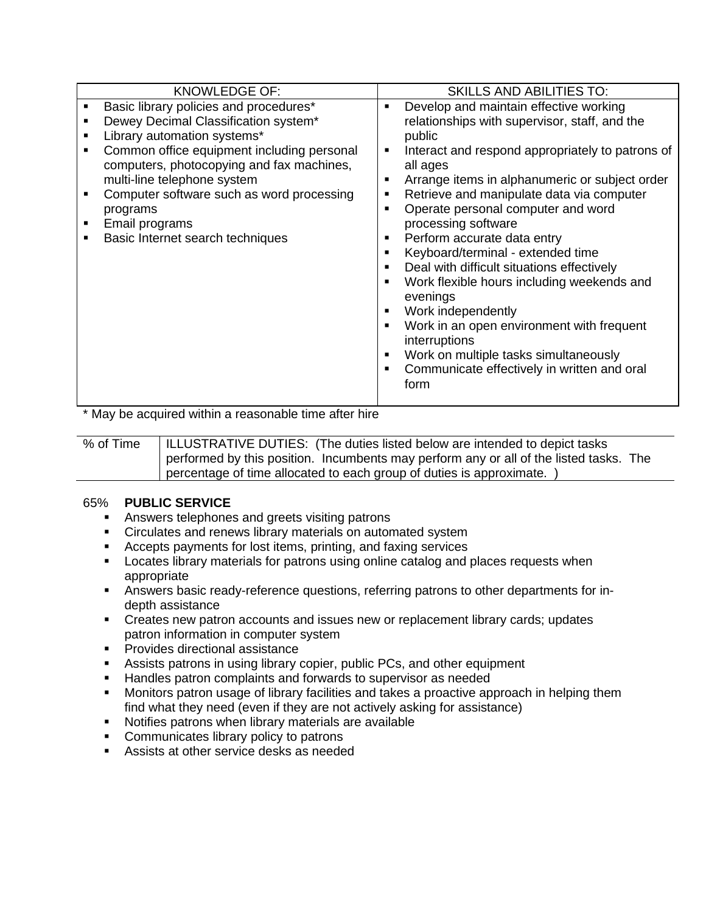| Basic library policies and procedures*<br>Develop and maintain effective working<br>$\blacksquare$<br>Dewey Decimal Classification system*<br>relationships with supervisor, staff, and the<br>Library automation systems*<br>public<br>Common office equipment including personal<br>Interact and respond appropriately to patrons of<br>п<br>computers, photocopying and fax machines,<br>all ages<br>multi-line telephone system<br>Arrange items in alphanumeric or subject order<br>п<br>Computer software such as word processing<br>Retrieve and manipulate data via computer<br>٠<br>Operate personal computer and word<br>programs<br>processing software<br>Email programs<br>Perform accurate data entry<br>Basic Internet search techniques<br>٠<br>٠ | <b>KNOWLEDGE OF:</b> | <b>SKILLS AND ABILITIES TO:</b>   |
|-------------------------------------------------------------------------------------------------------------------------------------------------------------------------------------------------------------------------------------------------------------------------------------------------------------------------------------------------------------------------------------------------------------------------------------------------------------------------------------------------------------------------------------------------------------------------------------------------------------------------------------------------------------------------------------------------------------------------------------------------------------------|----------------------|-----------------------------------|
| п<br>Deal with difficult situations effectively<br>п<br>Work flexible hours including weekends and<br>п<br>evenings<br>Work independently<br>п<br>Work in an open environment with frequent<br>п<br>interruptions<br>Work on multiple tasks simultaneously<br>п<br>Communicate effectively in written and oral<br>п<br>form                                                                                                                                                                                                                                                                                                                                                                                                                                       |                      | Keyboard/terminal - extended time |

\* May be acquired within a reasonable time after hire

% of Time | ILLUSTRATIVE DUTIES: (The duties listed below are intended to depict tasks performed by this position. Incumbents may perform any or all of the listed tasks. The percentage of time allocated to each group of duties is approximate. )

### 65% **PUBLIC SERVICE**

- **EXEDEN** Answers telephones and greets visiting patrons
- **EXECT** Circulates and renews library materials on automated system
- Accepts payments for lost items, printing, and faxing services
- **EXED Locates library materials for patrons using online catalog and places requests when** appropriate
- **EXECT** Answers basic ready-reference questions, referring patrons to other departments for indepth assistance
- Creates new patron accounts and issues new or replacement library cards; updates patron information in computer system
- Provides directional assistance
- **EXPLES** Assists patrons in using library copier, public PCs, and other equipment
- **EXT** Handles patron complaints and forwards to supervisor as needed
- Monitors patron usage of library facilities and takes a proactive approach in helping them find what they need (even if they are not actively asking for assistance)
- Notifies patrons when library materials are available
- Communicates library policy to patrons
- Assists at other service desks as needed